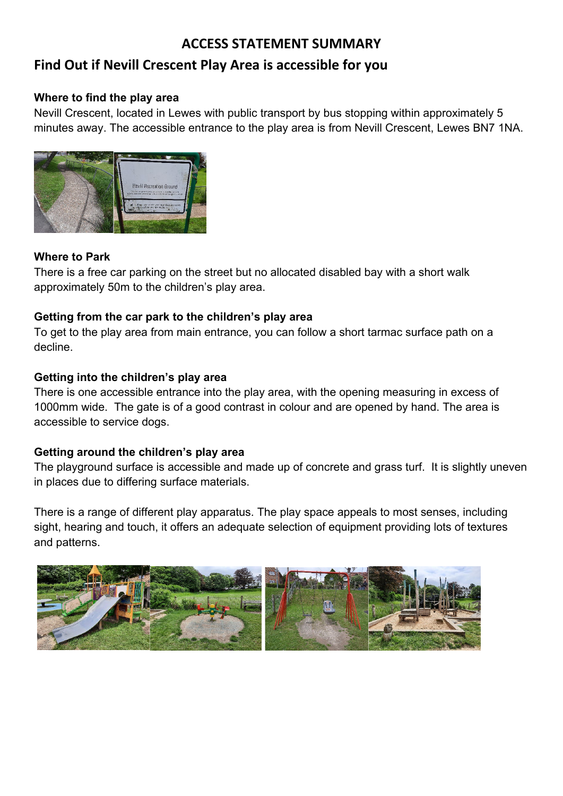# **ACCESS STATEMENT SUMMARY**

# **Find Out if Nevill Crescent Play Area is accessible for you**

#### **Where to find the play area**

Nevill Crescent, located in Lewes with public transport by bus stopping within approximately 5 minutes away. The accessible entrance to the play area is from Nevill Crescent, Lewes BN7 1NA.



#### **Where to Park**

There is a free car parking on the street but no allocated disabled bay with a short walk approximately 50m to the children's play area.

#### **Getting from the car park to the children's play area**

To get to the play area from main entrance, you can follow a short tarmac surface path on a decline.

#### **Getting into the children's play area**

There is one accessible entrance into the play area, with the opening measuring in excess of 1000mm wide. The gate is of a good contrast in colour and are opened by hand. The area is accessible to service dogs.

#### **Getting around the children's play area**

The playground surface is accessible and made up of concrete and grass turf. It is slightly uneven in places due to differing surface materials.

There is a range of different play apparatus. The play space appeals to most senses, including sight, hearing and touch, it offers an adequate selection of equipment providing lots of textures and patterns.